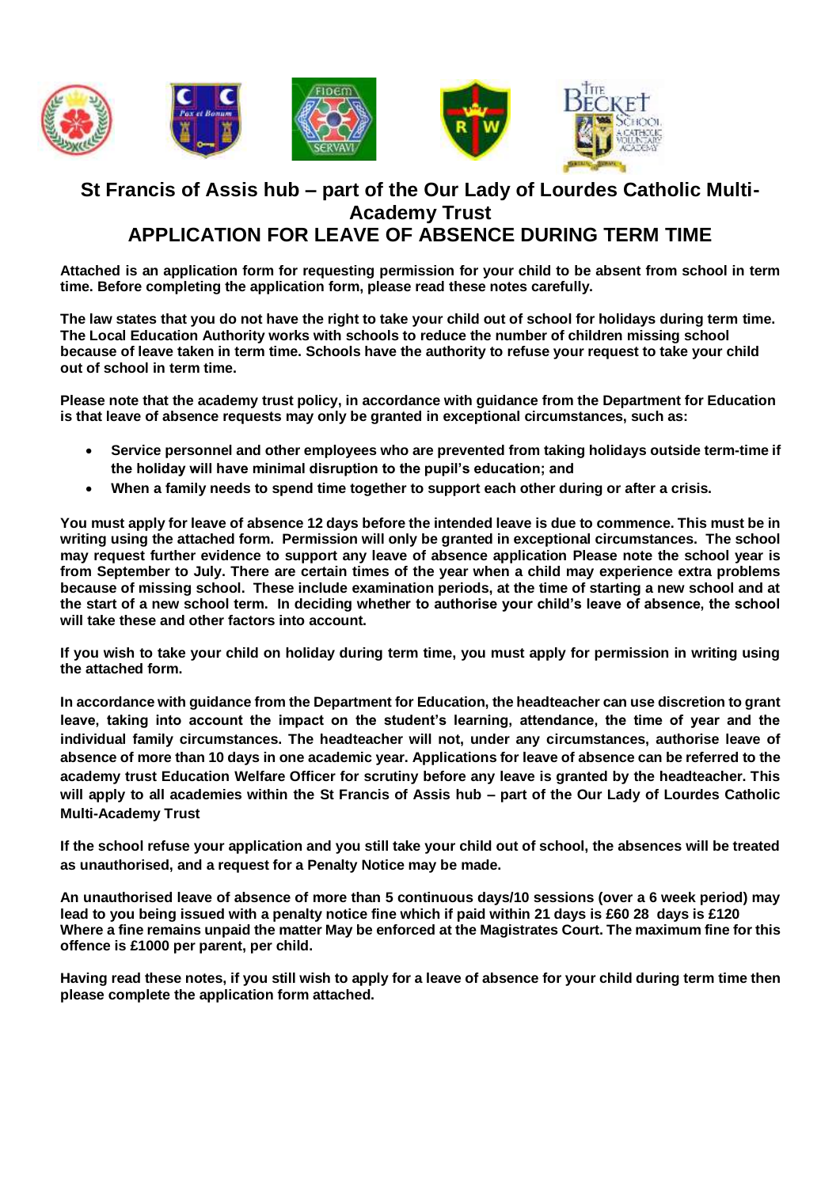

## **St Francis of Assis hub – part of the Our Lady of Lourdes Catholic Multi-Academy Trust APPLICATION FOR LEAVE OF ABSENCE DURING TERM TIME**

**Attached is an application form for requesting permission for your child to be absent from school in term time. Before completing the application form, please read these notes carefully.**

**The law states that you do not have the right to take your child out of school for holidays during term time. The Local Education Authority works with schools to reduce the number of children missing school because of leave taken in term time. Schools have the authority to refuse your request to take your child out of school in term time.** 

**Please note that the academy trust policy, in accordance with guidance from the Department for Education is that leave of absence requests may only be granted in exceptional circumstances, such as:**

- **Service personnel and other employees who are prevented from taking holidays outside term-time if the holiday will have minimal disruption to the pupil's education; and**
- **When a family needs to spend time together to support each other during or after a crisis.**

**You must apply for leave of absence 12 days before the intended leave is due to commence. This must be in writing using the attached form. Permission will only be granted in exceptional circumstances. The school may request further evidence to support any leave of absence application Please note the school year is from September to July. There are certain times of the year when a child may experience extra problems because of missing school. These include examination periods, at the time of starting a new school and at the start of a new school term. In deciding whether to authorise your child's leave of absence, the school will take these and other factors into account.**

**If you wish to take your child on holiday during term time, you must apply for permission in writing using the attached form.** 

**In accordance with guidance from the Department for Education, the headteacher can use discretion to grant leave, taking into account the impact on the student's learning, attendance, the time of year and the individual family circumstances. The headteacher will not, under any circumstances, authorise leave of absence of more than 10 days in one academic year. Applications for leave of absence can be referred to the academy trust Education Welfare Officer for scrutiny before any leave is granted by the headteacher. This will apply to all academies within the St Francis of Assis hub – part of the Our Lady of Lourdes Catholic Multi-Academy Trust** 

**If the school refuse your application and you still take your child out of school, the absences will be treated as unauthorised, and a request for a Penalty Notice may be made.**

**An unauthorised leave of absence of more than 5 continuous days/10 sessions (over a 6 week period) may lead to you being issued with a penalty notice fine which if paid within 21 days is £60 28 days is £120 Where a fine remains unpaid the matter May be enforced at the Magistrates Court. The maximum fine for this offence is £1000 per parent, per child.**

**Having read these notes, if you still wish to apply for a leave of absence for your child during term time then please complete the application form attached.**